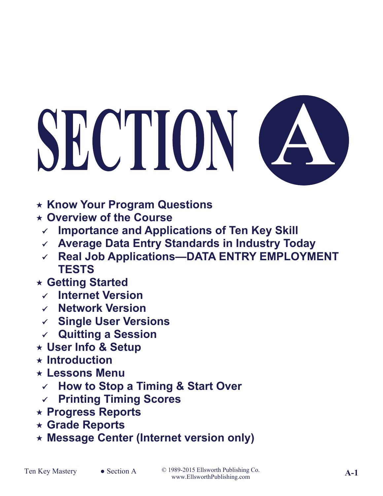# SECTION C



- **Know Your Program Questions**
- **Overview of the Course**
	- **Importance and Applications of Ten Key Skill**
	- **Average Data Entry Standards in Industry Today**
	- **Real Job Applications—DATA ENTRY EMPLOYMENT TESTS**
- **Getting Started**
	- **Internet Version**
	- **Network Version**
	- **Single User Versions**
	- **Quitting a Session**
- **User Info & Setup**
- **Introduction**
- **Lessons Menu**
- **How to Stop a Timing & Start Over**
- **Printing Timing Scores**
- **Progress Reports**
- **Grade Reports**
- **Message Center (Internet version only)**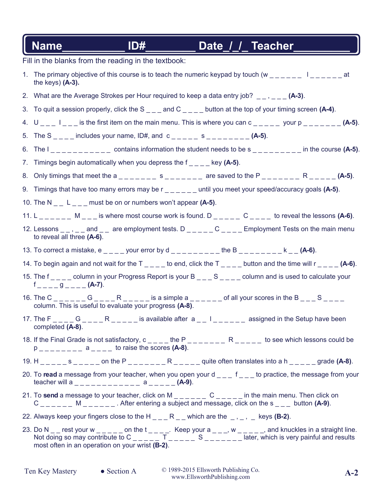## Fill in the blanks from the reading in the textbook: 1. The primary objective of this course is to teach the numeric keypad by touch (w  $\mu_{\mu}$   $\mu_{\mu}$   $\mu_{\mu}$   $\mu_{\mu}$   $\mu_{\mu}$   $\mu_{\mu}$   $\mu_{\mu}$  at the keys) **(A-3).** 2. What are the Average Strokes per Hour required to keep a data entry job? \_ \_ , \_ \_ \_ **(A-3)**. 3. To quit a session properly, click the S \_ \_ \_ and C \_ \_ \_ \_ button at the top of your timing screen **(A-4)**. 4.  $U_{\text{max}} = \frac{1}{1 - \frac{1}{1 - \frac{1}{1 - \frac{1}{1 - \frac{1}{1 - \frac{1}{1 - \frac{1}{1 - \frac{1}{1 - \frac{1}{1 - \frac{1}{1 - \frac{1}{1 - \frac{1}{1 - \frac{1}{1 - \frac{1}{1 - \frac{1}{1 - \frac{1}{1 - \frac{1}{1 - \frac{1}{1 - \frac{1}{1 - \frac{1}{1 - \frac{1}{1 - \frac{1}{1 - \frac{1}{1 - \frac{1}{1 - \frac{1}{1 - \frac{1}{1 - \frac{1}{1 - \frac{1}{1 - \frac{1}{1 - \frac{1}{1$ 5. The S \_ \_ \_ \_ includes your name, ID#, and c \_ \_ \_ \_ \_ s \_ \_ \_ \_ \_ \_ \_ \_ **(A-5)**. 6. The I \_ \_ \_ \_ \_ \_ \_ \_ \_ \_ \_ contains information the student needs to be s \_ \_ \_ \_ \_ \_ \_ \_ \_ in the course **(A-5)**. 7. Timings begin automatically when you depress the f \_ \_ \_ \_ key **(A-5)**. 8. Only timings that meet the a  $\angle$  \_ \_ \_ \_ \_ \_ s \_ \_ \_ \_ \_ \_ are saved to the P  $\angle$  \_ \_ \_ \_ \_ \_ R \_ \_ \_ \_ **(A-5)**. 9. Timings that have too many errors may be r \_ \_ \_ \_ \_ \_ until you meet your speed/accuracy goals **(A-5)**. 10. The N \_ \_ L \_ \_ \_ must be on or numbers won't appear **(A-5)**. 11. L \_ \_ \_ \_ \_ \_ M \_ \_ \_ is where most course work is found. D \_ \_ \_ \_ \_ C \_ \_ \_ \_ to reveal the lessons **(A-6)**. 12. Lessons  $\_ \,$ ,  $\_ \,$  and  $\_ \,$  are employment tests. D  $\_ \,$  $\_ \,$  $\_ \,$  $\_ \,$  $\_$  $\_$  Employment Tests on the main menu to reveal all three **(A-6)**. 13. To correct a mistake, e \_ \_ \_ your error by d \_ \_ \_ \_ \_ \_ \_ the B \_ \_ \_ \_ \_ \_ k \_ **(A-6)**. 14. To begin again and not wait for the T \_ \_ \_ \_ to end, click the T \_ \_ \_ \_ button and the time will r \_ \_ \_ \_ **(A-6)**. 15. The f  $\overline{a}$   $\overline{a}$  column in your Progress Report is your B  $\overline{a}$   $\overline{a}$   $\overline{a}$   $\overline{a}$   $\overline{a}$   $\overline{a}$   $\overline{a}$   $\overline{a}$   $\overline{b}$   $\overline{a}$   $\overline{a}$   $\overline{a}$   $\overline{a}$   $\overline{a}$   $\overline{b}$   $\overline{c}$   $\overline{a}$ f \_ \_ \_ \_ g \_ \_ \_ \_ **(A-7)**. 16. The C \_ \_ \_ \_ \_ \_ G \_ \_ \_ \_ R \_ \_ \_ \_ \_ is a simple a \_ \_ \_ \_ \_ \_ of all your scores in the B \_ \_ \_ S \_ \_ \_ \_ column. This is useful to evaluate your progress **(A-8)**. 17. The F \_ \_ \_ \_ G \_ \_ \_ \_ R \_ \_ \_ \_ \_ is available after a \_ \_ l \_ \_ \_ \_ \_ \_ assigned in the Setup have been completed **(A-8)**. 18. If the Final Grade is not satisfactory, c \_ \_ \_ \_ the P \_ \_ \_ \_ \_ \_ \_ R \_ \_ \_ \_ \_ to see which lessons could be  $p_{\text{2}} = 2p_{\text{2}} = 2p_{\text{2}} = 2p_{\text{2}} = 2p_{\text{2}} = 2p_{\text{2}} = 2p_{\text{2}} = 2p_{\text{2}} = 2p_{\text{2}} = 2p_{\text{2}} = 2p_{\text{2}} = 2p_{\text{2}} = 2p_{\text{2}} = 2p_{\text{2}} = 2p_{\text{2}} = 2p_{\text{2}} = 2p_{\text{2}} = 2p_{\text{2}} = 2p_{\text{2}} = 2p_{\text{2}} = 2p_{\text{2}} = 2p_{\text{2}} = 2$ 19. H  $_{\_ \_ \_ \_ \_ \_ \_ \_ \_ \_ \_ \_ ...}$  on the P  $_{\_ \_ \_ \_ \_ \_ \_ \_ \_ \_ \_ \_ \_ ...}$  R  $_{\_ \_ \_ \_ \_ \_ \_ \_}$  quite often translates into a h  $_{\_ \_ \_ \_ \_ \_ \_ \_}$  grade **(A-8)**. 20. To **read** a message from your teacher, when you open your d \_\_ \_ f \_ \_ to practice, the message from your teacher will a \_ \_ \_ \_ \_ \_ \_ \_ \_ \_ \_ \_ a \_ \_ \_ \_ \_ **(A-9)**. 21. To **send** a message to your teacher, click on M \_ \_ \_ \_ \_ C \_ \_ \_ \_ in the main menu. Then click on C \_ \_ \_ \_ \_ \_ M \_ \_ \_ \_ \_ \_ . After entering a subject and message, click on the s \_ \_ \_ button **(A-9)**. 22. Always keep your fingers close to the H  $_{---}$  R  $_{---}$  which are the  $_{-}$ ,  $_{-}$ ,  $_{-}$  keys **(B-2)**. 23. Do N  $\_\_$  rest your w  $\_\_$   $\_\_$  on the t  $\_\_$   $\_\_$ . Keep your a  $\_\_$ , w  $\_\_$   $\_\_$ , and knuckles in a straight line. Not doing so may contribute to C \_ \_ \_ \_ \_ T \_ \_ \_ \_ S \_ \_ \_ \_ \_ \_ later, which is very painful and results most often in an operation on your wrist **(B-2)**. Name\_\_\_\_\_\_\_\_\_\_\_\_\_\_ ID#\_\_\_\_\_\_\_\_\_\_\_\_ Date\_/\_/\_\_ Teacher\_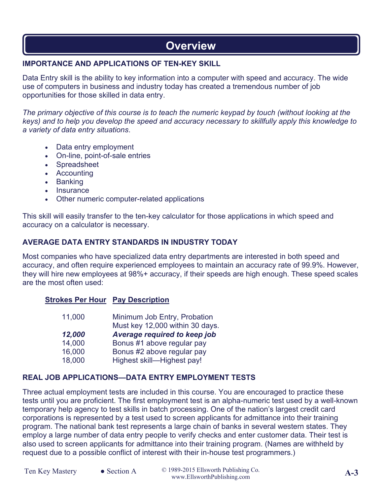# **Overview**

### **IMPORTANCE AND APPLICATIONS OF TEN-KEY SKILL**

Data Entry skill is the ability to key information into a computer with speed and accuracy. The wide use of computers in business and industry today has created a tremendous number of job opportunities for those skilled in data entry.

*The primary objective of this course is to teach the numeric keypad by touch (without looking at the keys) and to help you develop the speed and accuracy necessary to skillfully apply this knowledge to a variety of data entry situations*.

- Data entry employment
- On-line, point-of-sale entries
- Spreadsheet
- Accounting
- Banking
- Insurance
- Other numeric computer-related applications

This skill will easily transfer to the ten-key calculator for those applications in which speed and accuracy on a calculator is necessary.

### **AVERAGE DATA ENTRY STANDARDS IN INDUSTRY TODAY**

Most companies who have specialized data entry departments are interested in both speed and accuracy, and often require experienced employees to maintain an accuracy rate of 99.9%. However, they will hire new employees at 98%+ accuracy, if their speeds are high enough. These speed scales are the most often used:

### **Strokes Per Hour Pay Description**

| 11,000 | Minimum Job Entry, Probation    |
|--------|---------------------------------|
|        | Must key 12,000 within 30 days. |
| 12,000 | Average required to keep job    |
| 14,000 | Bonus #1 above regular pay      |
| 16,000 | Bonus #2 above regular pay      |
| 18,000 | Highest skill-Highest pay!      |

### **REAL JOB APPLICATIONS—DATA ENTRY EMPLOYMENT TESTS**

Three actual employment tests are included in this course. You are encouraged to practice these tests until you are proficient. The first employment test is an alpha-numeric test used by a well-known temporary help agency to test skills in batch processing. One of the nation's largest credit card corporations is represented by a test used to screen applicants for admittance into their training program. The national bank test represents a large chain of banks in several western states. They employ a large number of data entry people to verify checks and enter customer data. Their test is also used to screen applicants for admittance into their training program. (Names are withheld by request due to a possible conflict of interest with their in-house test programmers.)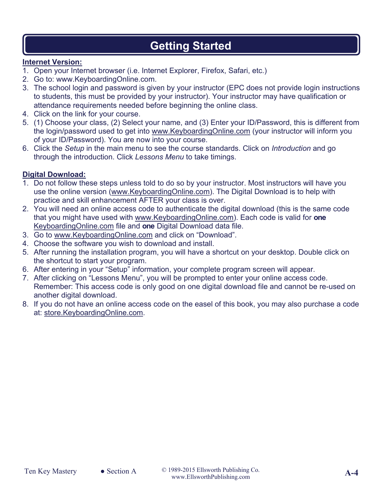# **Getting Started**

### **Internet Version:**

- 1. Open your Internet browser (i.e. Internet Explorer, Firefox, Safari, etc.)
- 2. Go to: www.KeyboardingOnline.com.
- 3. The school login and password is given by your instructor (EPC does not provide login instructions to students, this must be provided by your instructor). Your instructor may have qualification or attendance requirements needed before beginning the online class.
- 4. Click on the link for your course.
- 5. (1) Choose your class, (2) Select your name, and (3) Enter your ID/Password, this is different from the login/password used to get into www.KeyboardingOnline.com (your instructor will inform you of your ID/Password). You are now into your course.
- 6. Click the *Setup* in the main menu to see the course standards. Click on *Introduction* and go through the introduction. Click *Lessons Menu* to take timings.

### **Digital Download:**

- 1. Do not follow these steps unless told to do so by your instructor. Most instructors will have you use the online version (www.KeyboardingOnline.com). The Digital Download is to help with practice and skill enhancement AFTER your class is over.
- 2. You will need an online access code to authenticate the digital download (this is the same code that you might have used with www.KeyboardingOnline.com). Each code is valid for **one**  KeyboardingOnline.com file and **one** Digital Download data file.
- 3. Go to www.KeyboardingOnline.com and click on "Download".
- 4. Choose the software you wish to download and install.
- 5. After running the installation program, you will have a shortcut on your desktop. Double click on the shortcut to start your program.
- 6. After entering in your "Setup" information, your complete program screen will appear.
- 7. After clicking on "Lessons Menu", you will be prompted to enter your online access code. Remember: This access code is only good on one digital download file and cannot be re-used on another digital download.
- 8. If you do not have an online access code on the easel of this book, you may also purchase a code at: store.KeyboardingOnline.com.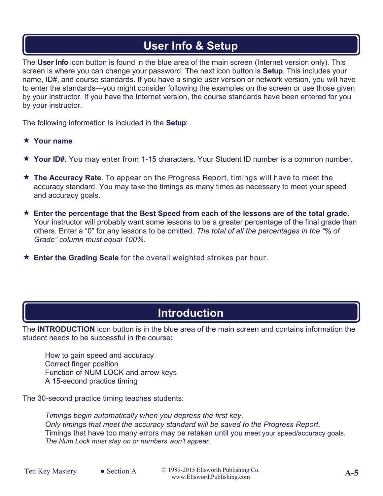# **User Info & Setup**

The **User Info** icon button is found in the blue area of the main screen (Internet version only). This screen is where you can change your password. The next icon button is **Setup**. This includes your name, ID#, and course standards. If you have a single user version or network version, you will have to enter the standards—you might consider following the examples on the screen or use those given by your instructor. If you have the Internet version, the course standards have been entered for you by your instructor.

The following information is included in the **Setup**:

### **Your name**

- **Your ID#.** You may enter from 1-15 characters. Your Student ID number is a common number.
- **The Accuracy Rate**. To appear on the Progress Report, timings will have to meet the accuracy standard. You may take the timings as many times as necessary to meet your speed and accuracy goals.
- **Enter the percentage that the Best Speed from each of the lessons are of the total grade**. Your instructor will probably want some lessons to be a greater percentage of the final grade than others. Enter a "0" for any lessons to be omitted. *The total of all the percentages in the "% of Grade" column must equal 100%*.
- **★ Enter the Grading Scale** for the overall weighted strokes per hour.

# **Introduction**

The **INTRODUCTION** icon button is in the blue area of the main screen and contains information the student needs to be successful in the course**:**

How to gain speed and accuracy Correct finger position Function of NUM LOCK and arrow keys A 15-second practice timing

The 30-second practice timing teaches students:

*Timings begin automatically when you depress the first key*. *Only timings that meet the accuracy standard will be saved to the Progress Report*. Timings that have too many errors may be retaken until you meet your speed/accuracy goals. *The Num Lock must stay on or numbers won't appear*.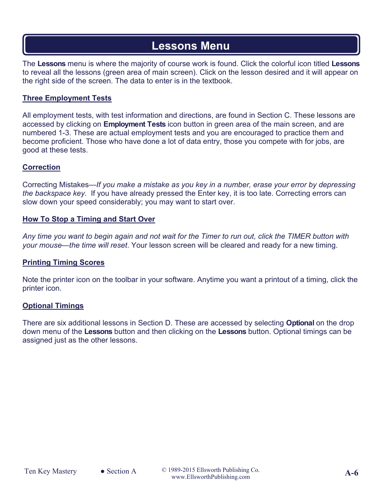# **Lessons Menu**

The **Lessons** menu is where the majority of course work is found. Click the colorful icon titled **Lessons** to reveal all the lessons (green area of main screen). Click on the lesson desired and it will appear on the right side of the screen. The data to enter is in the textbook.

### **Three Employment Tests**

All employment tests, with test information and directions, are found in Section C. These lessons are accessed by clicking on **Employment Tests** icon button in green area of the main screen, and are numbered 1-3. These are actual employment tests and you are encouraged to practice them and become proficient. Those who have done a lot of data entry, those you compete with for jobs, are good at these tests.

### **Correction**

Correcting Mistakes—*If you make a mistake as you key in a number, erase your error by depressing the backspace key*. If you have already pressed the Enter key, it is too late. Correcting errors can slow down your speed considerably; you may want to start over.

### **How To Stop a Timing and Start Over**

*Any time you want to begin again and not wait for the Timer to run out, click the TIMER button with your mouse—the time will reset*. Your lesson screen will be cleared and ready for a new timing.

### **Printing Timing Scores**

Note the printer icon on the toolbar in your software. Anytime you want a printout of a timing, click the printer icon.

### **Optional Timings**

There are six additional lessons in Section D. These are accessed by selecting **Optional** on the drop down menu of the **Lessons** button and then clicking on the **Lessons** button. Optional timings can be assigned just as the other lessons.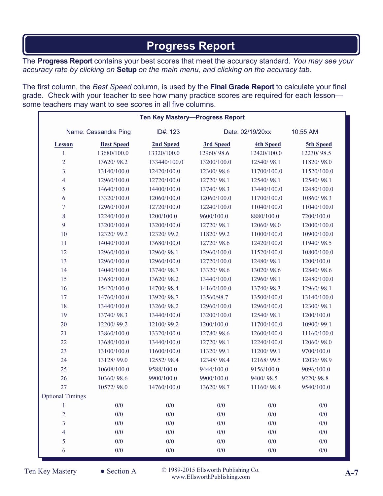# **Progress Report**

The **Progress Report** contains your best scores that meet the accuracy standard. *You may see your accuracy rate by clicking on* **Setup** *on the main menu, and clicking on the accuracy tab*.

The first column, the *Best Speed* column, is used by the **Final Grade Report** to calculate your final grade. Check with your teacher to see how many practice scores are required for each lesson some teachers may want to see scores in all five columns.

|                         |                   | <b>Ten Key Mastery-Progress Report</b> |                  |                  |             |
|-------------------------|-------------------|----------------------------------------|------------------|------------------|-------------|
| Name: Cassandra Ping    |                   | ID#: 123                               | Date: 02/19/20xx |                  | 10:55 AM    |
| <b>Lesson</b>           | <b>Best Speed</b> | 2nd Speed                              | 3rd Speed        | <b>4th Speed</b> | 5th Speed   |
| 1                       | 13680/100.0       | 13320/100.0                            | 12960/98.6       | 12420/100.0      | 12230/98.5  |
| $\overline{2}$          | 13620/98.2        | 133440/100.0                           | 13200/100.0      | 12540/98.1       | 11820/98.0  |
| $\overline{\mathbf{3}}$ | 13140/100.0       | 12420/100.0                            | 12300/98.6       | 11700/100.0      | 11520/100.0 |
| $\overline{4}$          | 12960/100.0       | 12720/100.0                            | 12720/98.1       | 12540/98.1       | 12540/98.1  |
| 5                       | 14640/100.0       | 14400/100.0                            | 13740/98.3       | 13440/100.0      | 12480/100.0 |
| 6                       | 13320/100.0       | 12060/100.0                            | 12060/100.0      | 11700/100.0      | 10860/98.3  |
| $\tau$                  | 12960/100.0       | 12720/100.0                            | 12240/100.0      | 11040/100.0      | 11040/100.0 |
| 8                       | 12240/100.0       | 1200/100.0                             | 9600/100.0       | 8880/100.0       | 7200/100.0  |
| 9                       | 13200/100.0       | 13200/100.0                            | 12720/98.1       | 12060/98.0       | 12000/100.0 |
| 10                      | 12320/99.2        | 12320/99.2                             | 11820/99.2       | 11000/100.0      | 10900/100.0 |
| 11                      | 14040/100.0       | 13680/100.0                            | 12720/98.6       | 12420/100.0      | 11940/98.5  |
| 12                      | 12960/100.0       | 12960/98.1                             | 12960/100.0      | 11520/100.0      | 10800/100.0 |
| 13                      | 12960/100.0       | 12960/100.0                            | 12720/100.0      | 12480/98.1       | 1200/100.0  |
| 14                      | 14040/100.0       | 13740/98.7                             | 13320/98.6       | 13020/98.6       | 12840/98.6  |
| 15                      | 13680/100.0       | 13620/98.2                             | 13440/100.0      | 12960/98.1       | 12480/100.0 |
| 16                      | 15420/100.0       | 14700/98.4                             | 14160/100.0      | 13740/98.3       | 12960/98.1  |
| 17                      | 14760/100.0       | 13920/98.7                             | 13560/98.7       | 13500/100.0      | 13140/100.0 |
| 18                      | 13440/100.0       | 13260/98.2                             | 12960/100.0      | 12960/100.0      | 12300/98.1  |
| 19                      | 13740/98.3        | 13440/100.0                            | 13200/100.0      | 12540/98.1       | 1200/100.0  |
| 20                      | 12200/99.2        | 12100/99.2                             | 1200/100.0       | 11700/100.0      | 10900/99.1  |
| 21                      | 13860/100.0       | 13320/100.0                            | 12780/98.6       | 12600/100.0      | 11160/100.0 |
| 22                      | 13680/100.0       | 13440/100.0                            | 12720/98.1       | 12240/100.0      | 12060/98.0  |
| 23                      | 13100/100.0       | 11600/100.0                            | 11320/99.1       | 11200/99.1       | 9700/100.0  |
| 24                      | 13128/99.0        | 12552/98.4                             | 12348/98.4       | 12168/99.5       | 12036/98.9  |
| 25                      | 10608/100.0       | 9588/100.0                             | 9444/100.0       | 9156/100.0       | 9096/100.0  |
| 26                      | 10360/98.6        | 9900/100.0                             | 9900/100.0       | 9400/98.5        | 9220/98.8   |
| 27                      | 10572/98.0        | 14760/100.0                            | 13620/98.7       | 11160/98.4       | 9540/100.0  |
| <b>Optional Timings</b> |                   |                                        |                  |                  |             |
| $\mathbf{1}$            | 0/0               | 0/0                                    | 0/0              | 0/0              | 0/0         |
| $\overline{2}$          | 0/0               | 0/0                                    | 0/0              | 0/0              | 0/0         |
| $\overline{\mathbf{3}}$ | 0/0               | 0/0                                    | 0/0              | 0/0              | 0/0         |
| 4                       | 0/0               | 0/0                                    | 0/0              | 0/0              | 0/0         |
| 5                       | 0/0               | 0/0                                    | 0/0              | 0/0              | 0/0         |
| 6                       | $0/0$             | 0/0                                    | 0/0              | 0/0              | 0/0         |

Ten Key Mastery © 1989-2015 Ellsworth Publishing Co. ● Section A **A-7** www.EllsworthPublishing.com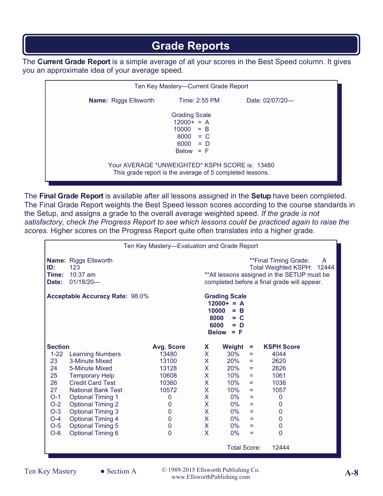# **Grade Reports**

The **Current Grade Report** is a simple average of all your scores in the Best Speed column. It gives you an approximate idea of your average speed.

| Ten Key Mastery-Current Grade Report |                                                                                                            |                 |  |  |  |  |
|--------------------------------------|------------------------------------------------------------------------------------------------------------|-----------------|--|--|--|--|
| <b>Name:</b> Riggs Ellsworth         | Time: 2:55 PM                                                                                              | Date: 02/07/20- |  |  |  |  |
|                                      | <b>Grading Scale</b><br>$12000+ = A$<br>$10000 = B$<br>$8000 = C$<br>$6000 = D$<br>$Below = F$             |                 |  |  |  |  |
|                                      | Your AVERAGE *UNWEIGHTED* KSPH SCORE is: 13480<br>This grade report is the average of 5 completed lessons. |                 |  |  |  |  |

The **Final Grade Report** is available after all lessons assigned in the **Setup** have been completed. The Final Grade Report weights the Best Speed lesson scores according to the course standards in the Setup, and assigns a grade to the overall average weighted speed. *If the grade is not satisfactory, check the Progress Report to see which lessons could be practiced again to raise the scores.* Higher scores on the Progress Report quite often translates into a higher grade*.* 

| Ten Key Mastery-Evaluation and Grade Report                                                                                                                   |                                                                  |                   |              |                     |     |                                                                                                                                                         |
|---------------------------------------------------------------------------------------------------------------------------------------------------------------|------------------------------------------------------------------|-------------------|--------------|---------------------|-----|---------------------------------------------------------------------------------------------------------------------------------------------------------|
| ID:<br>Time:<br>Date:                                                                                                                                         | <b>Name: Riggs Ellsworth</b><br>123<br>$10:37$ am<br>$01/18/20-$ |                   |              |                     |     | **Final Timing Grade:<br>A<br>Total Weighted KSPH: 12444<br>** All lessons assigned in the SETUP must be<br>completed before a final grade will appear. |
| <b>Acceptable Accuracy Rate: 98.0%</b><br><b>Grading Scale</b><br>$12000+ = A$<br>10000<br>$=$ B<br>8000<br>$= C$<br>6000<br>$= D$<br><b>Below</b><br>$=$ $F$ |                                                                  |                   |              |                     |     |                                                                                                                                                         |
| <b>Section</b>                                                                                                                                                |                                                                  | <b>Avg. Score</b> | X.           | Weight              | =   | <b>KSPH Score</b>                                                                                                                                       |
| $1 - 22$                                                                                                                                                      | <b>Learning Numbers</b>                                          | 13480             | X.           | 30%                 | Ξ.  | 4044                                                                                                                                                    |
| 23                                                                                                                                                            | 3-Minute Mixed                                                   | 13100             | X.           | 20%                 | Ξ.  | 2620                                                                                                                                                    |
| 24                                                                                                                                                            | 5-Minute Mixed                                                   | 13128             | X.           | 20%                 | $=$ | 2626                                                                                                                                                    |
| 25                                                                                                                                                            | <b>Temporary Help</b>                                            | 10608             | X            | $10\%$              | $=$ | 1061                                                                                                                                                    |
| 26                                                                                                                                                            | <b>Credit Card Test</b>                                          | 10360             | X.           | 10%                 | =   | 1036                                                                                                                                                    |
| 27                                                                                                                                                            | <b>National Bank Test</b>                                        | 10572             | X.           | 10%                 | $=$ | 1057                                                                                                                                                    |
| $O-1$                                                                                                                                                         | <b>Optional Timing 1</b>                                         | 0                 | $\mathsf{X}$ | $0\%$               | Ξ   | $\mathbf{0}$                                                                                                                                            |
| $O-2$                                                                                                                                                         | <b>Optional Timing 2</b>                                         | 0                 | X.           | 0%                  | ÷   | $\mathbf 0$                                                                                                                                             |
| $O-3$                                                                                                                                                         | <b>Optional Timing 3</b>                                         | $\mathbf 0$       | X            | $0\%$               | $=$ | $\mathbf 0$                                                                                                                                             |
| $O-4$                                                                                                                                                         | <b>Optional Timing 4</b>                                         | $\mathbf 0$       | X            | $0\%$               | $=$ | $\mathbf 0$                                                                                                                                             |
| $O-5$                                                                                                                                                         | <b>Optional Timing 5</b>                                         | $\mathbf 0$       | X.           | $0\%$               | ÷   | $\mathbf 0$                                                                                                                                             |
| $O-6$                                                                                                                                                         | <b>Optional Timing 6</b>                                         | $\Omega$          | X.           | $0\%$               | Ξ   | $\mathbf{0}$                                                                                                                                            |
|                                                                                                                                                               |                                                                  |                   |              | <b>Total Score:</b> |     | 12444                                                                                                                                                   |

Ten Key Mastery © 1989-2015 Ellsworth Publishing Co. ● Section A **A-8** www.EllsworthPublishing.com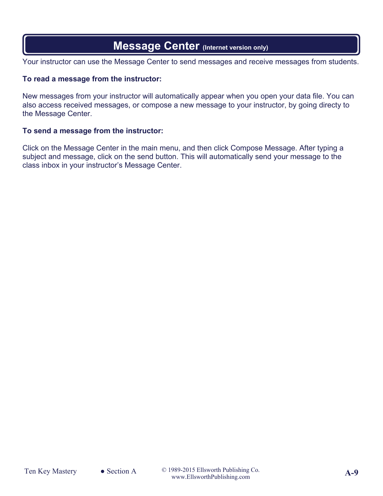# **Message Center (Internet version only)**

Your instructor can use the Message Center to send messages and receive messages from students.

### **To read a message from the instructor:**

New messages from your instructor will automatically appear when you open your data file. You can also access received messages, or compose a new message to your instructor, by going directy to the Message Center.

### **To send a message from the instructor:**

Click on the Message Center in the main menu, and then click Compose Message. After typing a subject and message, click on the send button. This will automatically send your message to the class inbox in your instructor's Message Center.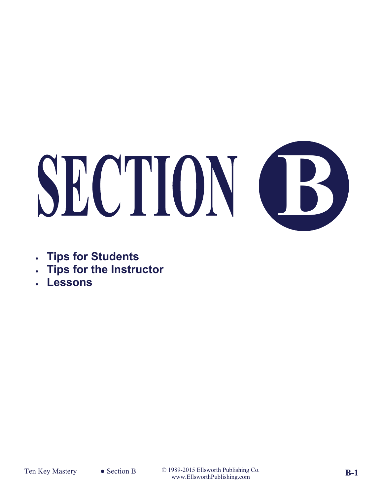# **SECTION CB**

- **Tips for Students**
- **Tips for the Instructor**
- **Lessons**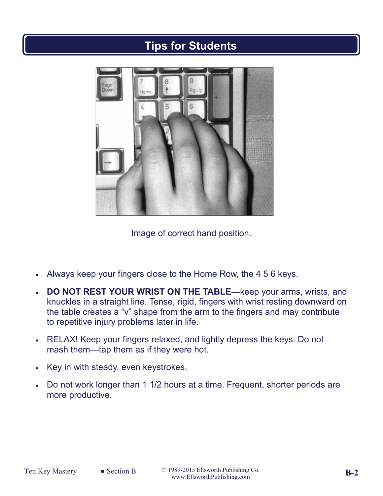# **Tips for Students**



Image of correct hand position.

- Always keep your fingers close to the Home Row, the 4 5 6 keys.
- **DO NOT REST YOUR WRIST ON THE TABLE**—keep your arms, wrists, and knuckles in a straight line. Tense, rigid, fingers with wrist resting downward on the table creates a "v" shape from the arm to the fingers and may contribute to repetitive injury problems later in life.
- RELAX! Keep your fingers relaxed, and lightly depress the keys. Do not mash them—tap them as if they were hot.
- Key in with steady, even keystrokes.
- Do not work longer than 1 1/2 hours at a time. Frequent, shorter periods are more productive.